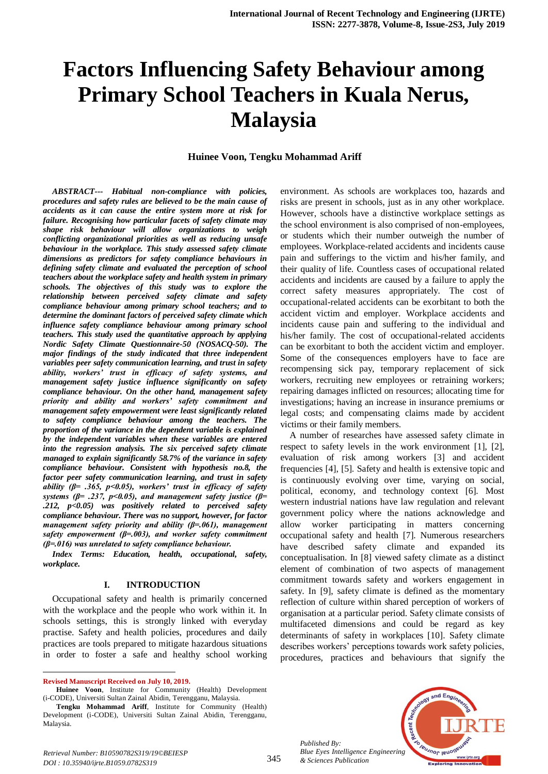# **Factors Influencing Safety Behaviour among Primary School Teachers in Kuala Nerus, Malaysia**

#### **Huinee Voon, Tengku Mohammad Ariff**

*ABSTRACT--- Habitual non-compliance with policies, procedures and safety rules are believed to be the main cause of accidents as it can cause the entire system more at risk for failure. Recognising how particular facets of safety climate may shape risk behaviour will allow organizations to weigh conflicting organizational priorities as well as reducing unsafe behaviour in the workplace. This study assessed safety climate dimensions as predictors for safety compliance behaviours in defining safety climate and evaluated the perception of school teachers about the workplace safety and health system in primary schools. The objectives of this study was to explore the relationship between perceived safety climate and safety compliance behaviour among primary school teachers; and to determine the dominant factors of perceived safety climate which influence safety compliance behaviour among primary school teachers. This study used the quantitative approach by applying Nordic Safety Climate Questionnaire-50 (NOSACQ-50). The major findings of the study indicated that three independent variables peer safety communication learning, and trust in safety ability, workers' trust in efficacy of safety systems, and management safety justice influence significantly on safety compliance behaviour. On the other hand, management safety priority and ability and workers' safety commitment and management safety empowerment were least significantly related to safety compliance behaviour among the teachers. The proportion of the variance in the dependent variable is explained by the independent variables when these variables are entered into the regression analysis. The six perceived safety climate managed to explain significantly 58.7% of the variance in safety compliance behaviour. Consistent with hypothesis no.8, the factor peer safety communication learning, and trust in safety ability (β= .365, p<0.05), workers' trust in efficacy of safety systems (β= .237, p<0.05), and management safety justice (β= .212, p<0.05) was positively related to perceived safety compliance behaviour. There was no support, however, for factor management safety priority and ability (β=.061), management safety empowerment (β=.003), and worker safety commitment (β=.016) was unrelated to safety compliance behaviour.*

*Index Terms: Education, health, occupational, safety, workplace.*

#### **I. INTRODUCTION**

Occupational safety and health is primarily concerned with the workplace and the people who work within it. In schools settings, this is strongly linked with everyday practise. Safety and health policies, procedures and daily practices are tools prepared to mitigate hazardous situations in order to foster a safe and healthy school working

**Revised Manuscript Received on July 10, 2019.**

 $\overline{a}$ 

environment. As schools are workplaces too, hazards and risks are present in schools, just as in any other workplace. However, schools have a distinctive workplace settings as the school environment is also comprised of non-employees, or students which their number outweigh the number of employees. Workplace-related accidents and incidents cause pain and sufferings to the victim and his/her family, and their quality of life. Countless cases of occupational related accidents and incidents are caused by a failure to apply the correct safety measures appropriately. The cost of occupational-related accidents can be exorbitant to both the accident victim and employer. Workplace accidents and incidents cause pain and suffering to the individual and his/her family. The cost of occupational-related accidents can be exorbitant to both the accident victim and employer. Some of the consequences employers have to face are recompensing sick pay, temporary replacement of sick workers, recruiting new employees or retraining workers; repairing damages inflicted on resources; allocating time for investigations; having an increase in insurance premiums or legal costs; and compensating claims made by accident victims or their family members.

A number of researches have assessed safety climate in respect to safety levels in the work environment [1], [2], evaluation of risk among workers [3] and accident frequencies [4], [5]. Safety and health is extensive topic and is continuously evolving over time, varying on social, political, economy, and technology context [6]. Most western industrial nations have law regulation and relevant government policy where the nations acknowledge and allow worker participating in matters concerning occupational safety and health [7]. Numerous researchers have described safety climate and expanded its conceptualisation. In [8] viewed safety climate as a distinct element of combination of two aspects of management commitment towards safety and workers engagement in safety. In [9], safety climate is defined as the momentary reflection of culture within shared perception of workers of organisation at a particular period. Safety climate consists of multifaceted dimensions and could be regard as key determinants of safety in workplaces [10]. Safety climate describes workers' perceptions towards work safety policies, procedures, practices and behaviours that signify the



*Published By:*

Huinee Voon, Institute for Community (Health) Development (i-CODE), Universiti Sultan Zainal Abidin, Terengganu, Malaysia.

**Tengku Mohammad Ariff**, Institute for Community (Health) Development (i-CODE), Universiti Sultan Zainal Abidin, Terengganu, Malaysia.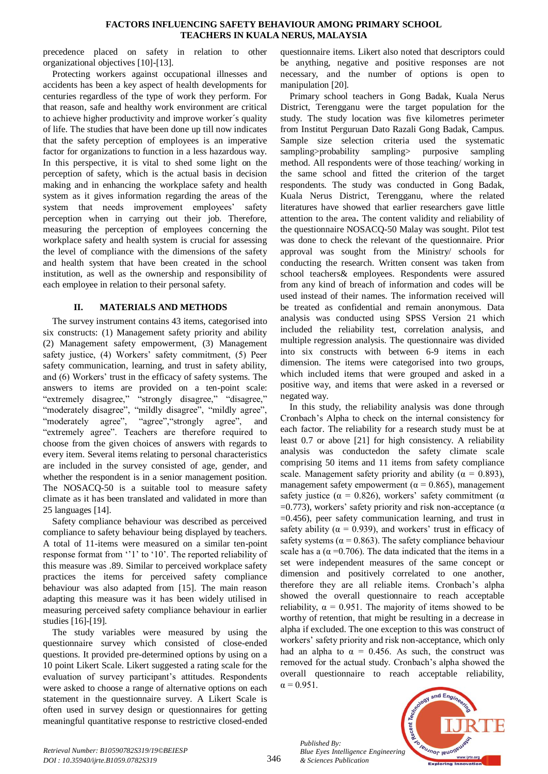#### **FACTORS INFLUENCING SAFETY BEHAVIOUR AMONG PRIMARY SCHOOL TEACHERS IN KUALA NERUS, MALAYSIA**

precedence placed on safety in relation to other organizational objectives [10]-[13].

Protecting workers against occupational illnesses and accidents has been a key aspect of health developments for centuries regardless of the type of work they perform. For that reason, safe and healthy work environment are critical to achieve higher productivity and improve worker´s quality of life. The studies that have been done up till now indicates that the safety perception of employees is an imperative factor for organizations to function in a less hazardous way. In this perspective, it is vital to shed some light on the perception of safety, which is the actual basis in decision making and in enhancing the workplace safety and health system as it gives information regarding the areas of the system that needs improvement employees' safety perception when in carrying out their job. Therefore, measuring the perception of employees concerning the workplace safety and health system is crucial for assessing the level of compliance with the dimensions of the safety and health system that have been created in the school institution, as well as the ownership and responsibility of each employee in relation to their personal safety.

## **II. MATERIALS AND METHODS**

The survey instrument contains 43 items, categorised into six constructs: (1) Management safety priority and ability (2) Management safety empowerment, (3) Management safety justice, (4) Workers' safety commitment, (5) Peer safety communication, learning, and trust in safety ability, and (6) Workers' trust in the efficacy of safety systems. The answers to items are provided on a ten-point scale: "extremely disagree," "strongly disagree," "disagree," "moderately disagree", "mildly disagree", "mildly agree", "moderately agree", "agree", "strongly agree", and "extremely agree". Teachers are therefore required to choose from the given choices of answers with regards to every item. Several items relating to personal characteristics are included in the survey consisted of age, gender, and whether the respondent is in a senior management position. The NOSACQ-50 is a suitable tool to measure safety climate as it has been translated and validated in more than 25 languages [14].

Safety compliance behaviour was described as perceived compliance to safety behaviour being displayed by teachers. A total of 11-items were measured on a similar ten-point response format from ''1' to '10'. The reported reliability of this measure was .89. Similar to perceived workplace safety practices the items for perceived safety compliance behaviour was also adapted from [15]. The main reason adapting this measure was it has been widely utilised in measuring perceived safety compliance behaviour in earlier studies [16]-[19].

The study variables were measured by using the questionnaire survey which consisted of close-ended questions. It provided pre-determined options by using on a 10 point Likert Scale. Likert suggested a rating scale for the evaluation of survey participant's attitudes. Respondents were asked to choose a range of alternative options on each statement in the questionnaire survey. A Likert Scale is often used in survey design or questionnaires for getting meaningful quantitative response to restrictive closed-ended

questionnaire items. Likert also noted that descriptors could be anything, negative and positive responses are not necessary, and the number of options is open to manipulation [20].

Primary school teachers in Gong Badak, Kuala Nerus District, Terengganu were the target population for the study. The study location was five kilometres perimeter from Institut Perguruan Dato Razali Gong Badak, Campus. Sample size selection criteria used the systematic sampling>probability sampling> purposive sampling method. All respondents were of those teaching/ working in the same school and fitted the criterion of the target respondents. The study was conducted in Gong Badak, Kuala Nerus District, Terengganu, where the related literatures have showed that earlier researchers gave little attention to the area**.** The content validity and reliability of the questionnaire NOSACQ-50 Malay was sought. Pilot test was done to check the relevant of the questionnaire. Prior approval was sought from the Ministry/ schools for conducting the research. Written consent was taken from school teachers& employees. Respondents were assured from any kind of breach of information and codes will be used instead of their names. The information received will be treated as confidential and remain anonymous. Data analysis was conducted using SPSS Version 21 which included the reliability test, correlation analysis, and multiple regression analysis. The questionnaire was divided into six constructs with between 6-9 items in each dimension. The items were categorised into two groups, which included items that were grouped and asked in a positive way, and items that were asked in a reversed or negated way.

In this study, the reliability analysis was done through Cronbach's Alpha to check on the internal consistency for each factor. The reliability for a research study must be at least 0.7 or above [21] for high consistency. A reliability analysis was conductedon the safety climate scale comprising 50 items and 11 items from safety compliance scale. Management safety priority and ability ( $\alpha = 0.893$ ), management safety empowerment ( $\alpha$  = 0.865), management safety justice ( $\alpha = 0.826$ ), workers' safety commitment ( $\alpha$  $=0.773$ ), workers' safety priority and risk non-acceptance ( $\alpha$  $=0.456$ ), peer safety communication learning, and trust in safety ability ( $\alpha = 0.939$ ), and workers' trust in efficacy of safety systems ( $\alpha$  = 0.863). The safety compliance behaviour scale has a ( $\alpha$  =0.706). The data indicated that the items in a set were independent measures of the same concept or dimension and positively correlated to one another, therefore they are all reliable items. Cronbach's alpha showed the overall questionnaire to reach acceptable reliability,  $\alpha = 0.951$ . The majority of items showed to be worthy of retention, that might be resulting in a decrease in alpha if excluded. The one exception to this was construct of workers' safety priority and risk non-acceptance, which only had an alpha to  $\alpha = 0.456$ . As such, the construct was removed for the actual study. Cronbach's alpha showed the overall questionnaire to reach acceptable reliability,  $\alpha = 0.951$ .

*Published By: Blue Eyes Intelligence Engineering & Sciences Publication* 

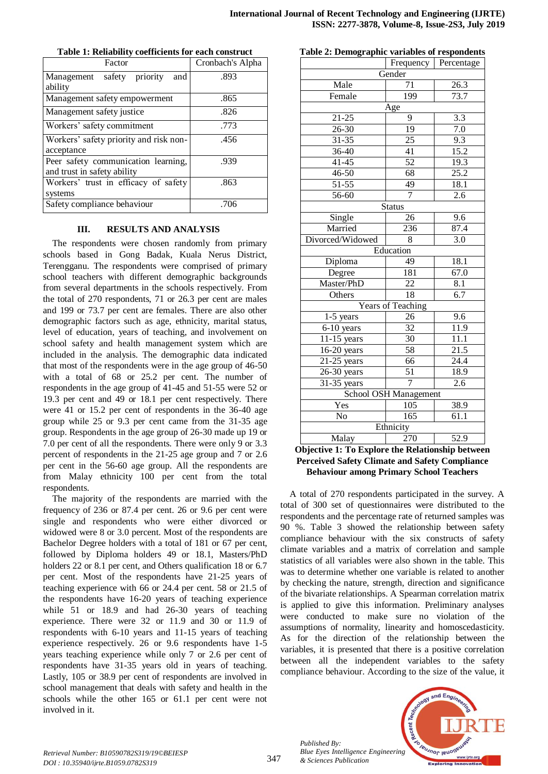| Factor                                                             | Cronbach's Alpha |  |  |  |
|--------------------------------------------------------------------|------------------|--|--|--|
| priority<br>safety<br>Management<br>and<br>ability                 | .893             |  |  |  |
| Management safety empowerment                                      | .865             |  |  |  |
| Management safety justice                                          | .826             |  |  |  |
| Workers' safety commitment                                         | .773             |  |  |  |
| Workers' safety priority and risk non-<br>acceptance               | .456             |  |  |  |
| Peer safety communication learning,<br>and trust in safety ability | .939             |  |  |  |
| Workers' trust in efficacy of safety<br>systems                    | .863             |  |  |  |
| Safety compliance behaviour                                        | .706             |  |  |  |

**Table 1: Reliability coefficients for each construct**

#### **III. RESULTS AND ANALYSIS**

The respondents were chosen randomly from primary schools based in Gong Badak, Kuala Nerus District, Terengganu. The respondents were comprised of primary school teachers with different demographic backgrounds from several departments in the schools respectively. From the total of 270 respondents, 71 or 26.3 per cent are males and 199 or 73.7 per cent are females. There are also other demographic factors such as age, ethnicity, marital status, level of education, years of teaching, and involvement on school safety and health management system which are included in the analysis. The demographic data indicated that most of the respondents were in the age group of 46-50 with a total of 68 or 25.2 per cent. The number of respondents in the age group of 41-45 and 51-55 were 52 or 19.3 per cent and 49 or 18.1 per cent respectively. There were 41 or 15.2 per cent of respondents in the 36-40 age group while 25 or 9.3 per cent came from the 31-35 age group. Respondents in the age group of 26-30 made up 19 or 7.0 per cent of all the respondents. There were only 9 or 3.3 percent of respondents in the 21-25 age group and 7 or 2.6 per cent in the 56-60 age group. All the respondents are from Malay ethnicity 100 per cent from the total respondents.

The majority of the respondents are married with the frequency of 236 or 87.4 per cent. 26 or 9.6 per cent were single and respondents who were either divorced or widowed were 8 or 3.0 percent. Most of the respondents are Bachelor Degree holders with a total of 181 or 67 per cent, followed by Diploma holders 49 or 18.1, Masters/PhD holders 22 or 8.1 per cent, and Others qualification 18 or 6.7 per cent. Most of the respondents have 21-25 years of teaching experience with 66 or 24.4 per cent. 58 or 21.5 of the respondents have 16-20 years of teaching experience while 51 or 18.9 and had 26-30 years of teaching experience. There were 32 or 11.9 and 30 or 11.9 of respondents with 6-10 years and 11-15 years of teaching experience respectively. 26 or 9.6 respondents have 1-5 years teaching experience while only 7 or 2.6 per cent of respondents have 31-35 years old in years of teaching. Lastly, 105 or 38.9 per cent of respondents are involved in school management that deals with safety and health in the schools while the other 165 or 61.1 per cent were not involved in it.

|           | Frequency | Percentage |  |  |  |  |
|-----------|-----------|------------|--|--|--|--|
| Gender    |           |            |  |  |  |  |
| Male      | 71        | 26.3       |  |  |  |  |
| Female    | 199       | 73.7       |  |  |  |  |
| Age       |           |            |  |  |  |  |
| $21 - 25$ | q         | 3.3        |  |  |  |  |
| $26 - 30$ | 19        | 7.0        |  |  |  |  |
| $31 - 35$ | 25        | 9.3        |  |  |  |  |
| $36-40$   | 41        | 15.2       |  |  |  |  |
| 41-45     | 52        | 19.3       |  |  |  |  |
|           |           |            |  |  |  |  |

**Table 2: Demographic variables of respondents**

| 21-25                     | 9                 | 3.3  |  |  |  |
|---------------------------|-------------------|------|--|--|--|
| 26-30                     | 19                | 7.0  |  |  |  |
| 31-35                     | 25                | 9.3  |  |  |  |
| 36-40                     | 41                | 15.2 |  |  |  |
| $41 - 45$                 | 52                | 19.3 |  |  |  |
| 46-50                     | 68                | 25.2 |  |  |  |
| 51-55                     | 49                | 18.1 |  |  |  |
| 56-60                     | $\overline{7}$    | 2.6  |  |  |  |
|                           | <b>Status</b>     |      |  |  |  |
| Single                    | 26                | 9.6  |  |  |  |
| Married                   | 236               | 87.4 |  |  |  |
| Divorced/Widowed          | 8                 | 3.0  |  |  |  |
|                           | Education         |      |  |  |  |
| Diploma                   | 49                | 18.1 |  |  |  |
| Degree                    | 181               | 67.0 |  |  |  |
| Master/PhD                | 22                | 8.1  |  |  |  |
| Others                    | $\overline{18}$   | 6.7  |  |  |  |
|                           | Years of Teaching |      |  |  |  |
| 1-5 years                 | 26                | 9.6  |  |  |  |
| 6-10 years                | 32                | 11.9 |  |  |  |
| $11-15$ years             | 30                | 11.1 |  |  |  |
| $16-20$ years             | 58                | 21.5 |  |  |  |
| $\overline{21}$ -25 years | 66                | 24.4 |  |  |  |
| 26-30 years               | $\overline{51}$   | 18.9 |  |  |  |
| 31-35 years               | 7                 | 2.6  |  |  |  |
| School OSH Management     |                   |      |  |  |  |
| Yes                       | 105               | 38.9 |  |  |  |
| No                        | 165               | 61.1 |  |  |  |
| Ethnicity                 |                   |      |  |  |  |
| Malay                     | 270               | 52.9 |  |  |  |

## **Objective 1: To Explore the Relationship between Perceived Safety Climate and Safety Compliance Behaviour among Primary School Teachers**

A total of 270 respondents participated in the survey. A total of 300 set of questionnaires were distributed to the respondents and the percentage rate of returned samples was 90 %. Table 3 showed the relationship between safety compliance behaviour with the six constructs of safety climate variables and a matrix of correlation and sample statistics of all variables were also shown in the table. This was to determine whether one variable is related to another by checking the nature, strength, direction and significance of the bivariate relationships. A Spearman correlation matrix is applied to give this information. Preliminary analyses were conducted to make sure no violation of the assumptions of normality, linearity and homoscedasticity. As for the direction of the relationship between the variables, it is presented that there is a positive correlation between all the independent variables to the safety compliance behaviour. According to the size of the value, it



*Published By:*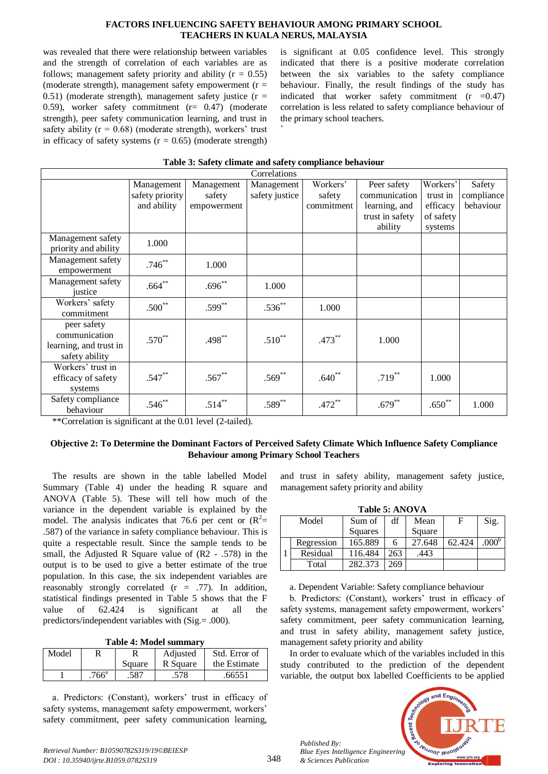#### **FACTORS INFLUENCING SAFETY BEHAVIOUR AMONG PRIMARY SCHOOL TEACHERS IN KUALA NERUS, MALAYSIA**

was revealed that there were relationship between variables and the strength of correlation of each variables are as follows; management safety priority and ability  $(r = 0.55)$ (moderate strength), management safety empowerment  $(r =$ 0.51) (moderate strength), management safety justice  $(r =$ 0.59), worker safety commitment (r= 0.47) (moderate strength), peer safety communication learning, and trust in safety ability ( $r = 0.68$ ) (moderate strength), workers' trust in efficacy of safety systems  $(r = 0.65)$  (moderate strength) is significant at 0.05 confidence level. This strongly indicated that there is a positive moderate correlation between the six variables to the safety compliance behaviour. Finally, the result findings of the study has indicated that worker safety commitment  $(r = 0.47)$ correlation is less related to safety compliance behaviour of the primary school teachers.

| Correlations           |                 |             |                |             |                 |           |            |
|------------------------|-----------------|-------------|----------------|-------------|-----------------|-----------|------------|
|                        | Management      | Management  | Management     | Workers'    | Peer safety     | Workers'  | Safety     |
|                        | safety priority | safety      | safety justice | safety      | communication   | trust in  | compliance |
|                        | and ability     | empowerment |                | commitment  | learning, and   | efficacy  | behaviour  |
|                        |                 |             |                |             | trust in safety | of safety |            |
|                        |                 |             |                |             | ability         | systems   |            |
| Management safety      | 1.000           |             |                |             |                 |           |            |
| priority and ability   |                 |             |                |             |                 |           |            |
| Management safety      | $.746**$        | 1.000       |                |             |                 |           |            |
| empowerment            |                 |             |                |             |                 |           |            |
| Management safety      | $.664**$        | $.696**$    | 1.000          |             |                 |           |            |
| justice                |                 |             |                |             |                 |           |            |
| Workers' safety        | $.500**$        | $.599***$   | $.536^{**}$    | 1.000       |                 |           |            |
| commitment             |                 |             |                |             |                 |           |            |
| peer safety            |                 |             |                |             |                 |           |            |
| communication          | $.570^{**}$     | $.498***$   | $.510^{**}$    | $.473**$    | 1.000           |           |            |
| learning, and trust in |                 |             |                |             |                 |           |            |
| safety ability         |                 |             |                |             |                 |           |            |
| Workers' trust in      |                 |             |                |             |                 |           |            |
| efficacy of safety     | $.547**$        | $.567**$    | $.569^{**}$    | $.640^{**}$ | $.719***$       | 1.000     |            |
| systems                |                 |             |                |             |                 |           |            |
| Safety compliance      | $.546**$        | $.514***$   | $.589**$       | $.472**$    | $.679**$        | $.650**$  | 1.000      |
| behaviour              |                 |             |                |             |                 |           |            |

### **Table 3: Safety climate and safety compliance behaviour**

**`**

\*\*Correlation is significant at the 0.01 level (2-tailed).

## **Objective 2: To Determine the Dominant Factors of Perceived Safety Climate Which Influence Safety Compliance Behaviour among Primary School Teachers**

The results are shown in the table labelled Model Summary (Table 4) under the heading R square and ANOVA (Table 5). These will tell how much of the variance in the dependent variable is explained by the model. The analysis indicates that 76.6 per cent or  $(R^2=$ .587) of the variance in safety compliance behaviour. This is quite a respectable result. Since the sample tends to be small, the Adjusted R Square value of (R2 - .578) in the output is to be used to give a better estimate of the true population. In this case, the six independent variables are reasonably strongly correlated (r = .77). In addition, statistical findings presented in Table 5 shows that the F value of 62.424 is significant at all the predictors/independent variables with (Sig.= .000).

**Table 4: Model summary**

| Model |         |        | Adjusted | Std. Error of |  |
|-------|---------|--------|----------|---------------|--|
|       |         | Square | R Square | the Estimate  |  |
|       | $766^a$ | .587   | .578     | .66551        |  |

a. Predictors: (Constant), workers' trust in efficacy of safety systems, management safety empowerment, workers' safety commitment, peer safety communication learning,

and trust in safety ability, management safety justice, management safety priority and ability

**Table 5: ANOVA**

|       | 1490 2. AU V II |         |     |        |        |                   |  |  |  |
|-------|-----------------|---------|-----|--------|--------|-------------------|--|--|--|
| Model |                 | Sum of  | df  | Mean   | F      | Sig.              |  |  |  |
|       |                 | Squares |     | Square |        |                   |  |  |  |
|       | Regression      | 165.889 | h   | 27.648 | 62.424 | .000 <sup>o</sup> |  |  |  |
|       | Residual        | 116.484 | 263 | .443   |        |                   |  |  |  |
|       | Total           | 282.373 | 269 |        |        |                   |  |  |  |

a. Dependent Variable: Safety compliance behaviour

b. Predictors: (Constant), workers' trust in efficacy of safety systems, management safety empowerment, workers' safety commitment, peer safety communication learning, and trust in safety ability, management safety justice, management safety priority and ability

In order to evaluate which of the variables included in this study contributed to the prediction of the dependent variable, the output box labelled Coefficients to be applied



*Published By:*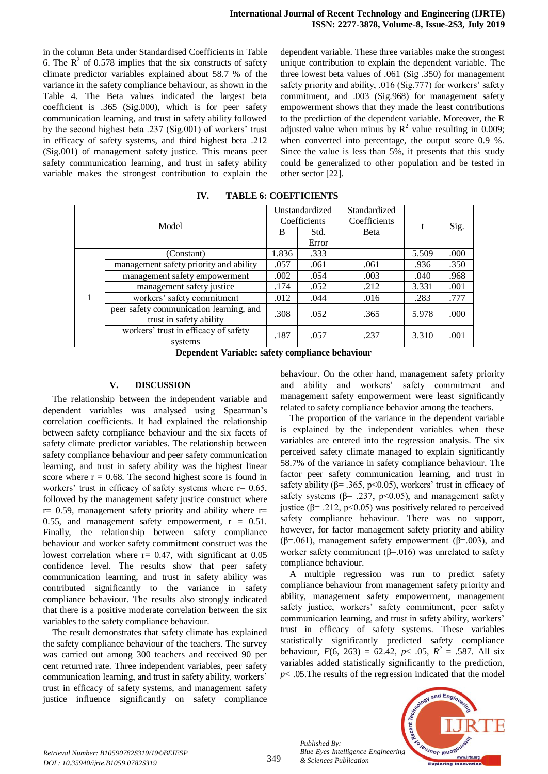in the column Beta under Standardised Coefficients in Table 6. The  $R^2$  of 0.578 implies that the six constructs of safety climate predictor variables explained about 58.7 % of the variance in the safety compliance behaviour, as shown in the Table 4. The Beta values indicated the largest beta coefficient is .365 (Sig.000), which is for peer safety communication learning, and trust in safety ability followed by the second highest beta .237 (Sig.001) of workers' trust in efficacy of safety systems, and third highest beta .212 (Sig.001) of management safety justice. This means peer safety communication learning, and trust in safety ability variable makes the strongest contribution to explain the

dependent variable. These three variables make the strongest unique contribution to explain the dependent variable. The three lowest beta values of .061 (Sig .350) for management safety priority and ability, .016 (Sig.777) for workers' safety commitment, and .003 (Sig.968) for management safety empowerment shows that they made the least contributions to the prediction of the dependent variable. Moreover, the R adjusted value when minus by  $R^2$  value resulting in 0.009; when converted into percentage, the output score 0.9 %. Since the value is less than 5%, it presents that this study could be generalized to other population and be tested in other sector [22].

| Model |                                                                    | Unstandardized |       | Standardized |       |      |
|-------|--------------------------------------------------------------------|----------------|-------|--------------|-------|------|
|       |                                                                    | Coefficients   |       | Coefficients |       |      |
|       |                                                                    | B              | Std.  | <b>Beta</b>  |       | Sig. |
|       |                                                                    |                | Error |              |       |      |
|       | (Constant)                                                         | 1.836          | .333  |              | 5.509 | .000 |
|       | management safety priority and ability                             | .057           | .061  | .061         | .936  | .350 |
|       | management safety empowerment                                      | .002           | .054  | .003         | .040  | .968 |
|       | management safety justice                                          | .174           | .052  | .212         | 3.331 | .001 |
|       | workers' safety commitment                                         | .012           | .044  | .016         | .283  | .777 |
|       | peer safety communication learning, and<br>trust in safety ability | .308           | .052  | .365         | 5.978 | .000 |
|       | workers' trust in efficacy of safety<br>systems                    | .187           | .057  | .237         | 3.310 | .001 |

**IV. TABLE 6: COEFFICIENTS**

**Dependent Variable: safety compliance behaviour**

#### **V. DISCUSSION**

The relationship between the independent variable and dependent variables was analysed using Spearman's correlation coefficients. It had explained the relationship between safety compliance behaviour and the six facets of safety climate predictor variables. The relationship between safety compliance behaviour and peer safety communication learning, and trust in safety ability was the highest linear score where  $r = 0.68$ . The second highest score is found in workers' trust in efficacy of safety systems where  $r = 0.65$ , followed by the management safety justice construct where  $r= 0.59$ , management safety priority and ability where  $r=$ 0.55, and management safety empowerment,  $r = 0.51$ . Finally, the relationship between safety compliance behaviour and worker safety commitment construct was the lowest correlation where  $r = 0.47$ , with significant at 0.05 confidence level. The results show that peer safety communication learning, and trust in safety ability was contributed significantly to the variance in safety compliance behaviour. The results also strongly indicated that there is a positive moderate correlation between the six variables to the safety compliance behaviour.

The result demonstrates that safety climate has explained the safety compliance behaviour of the teachers. The survey was carried out among 300 teachers and received 90 per cent returned rate. Three independent variables, peer safety communication learning, and trust in safety ability, workers' trust in efficacy of safety systems, and management safety justice influence significantly on safety compliance behaviour. On the other hand, management safety priority and ability and workers' safety commitment and management safety empowerment were least significantly related to safety compliance behavior among the teachers.

The proportion of the variance in the dependent variable is explained by the independent variables when these variables are entered into the regression analysis. The six perceived safety climate managed to explain significantly 58.7% of the variance in safety compliance behaviour. The factor peer safety communication learning, and trust in safety ability ( $\beta$ = .365, p<0.05), workers' trust in efficacy of safety systems ( $\beta$ = .237, p<0.05), and management safety justice (β = .212, p ≤ 0.05) was positively related to perceived safety compliance behaviour. There was no support, however, for factor management safety priority and ability ( $\beta$ =.061), management safety empowerment ( $\beta$ =.003), and worker safety commitment ( $\beta$ =.016) was unrelated to safety compliance behaviour.

A multiple regression was run to predict safety compliance behaviour from management safety priority and ability, management safety empowerment, management safety justice, workers' safety commitment, peer safety communication learning, and trust in safety ability, workers' trust in efficacy of safety systems. These variables statistically significantly predicted safety compliance behaviour,  $F(6, 263) = 62.42$ ,  $p < .05$ ,  $R^2 = .587$ . All six variables added statistically significantly to the prediction, *p*< .05.The results of the regression indicated that the model



*Published By:*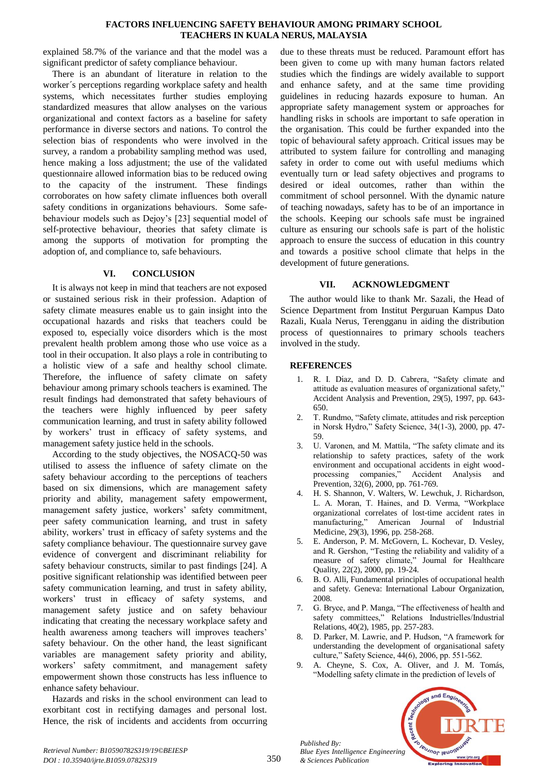#### **FACTORS INFLUENCING SAFETY BEHAVIOUR AMONG PRIMARY SCHOOL TEACHERS IN KUALA NERUS, MALAYSIA**

explained 58.7% of the variance and that the model was a significant predictor of safety compliance behaviour.

There is an abundant of literature in relation to the worker´s perceptions regarding workplace safety and health systems, which necessitates further studies employing standardized measures that allow analyses on the various organizational and context factors as a baseline for safety performance in diverse sectors and nations. To control the selection bias of respondents who were involved in the survey, a random a probability sampling method was used, hence making a loss adjustment; the use of the validated questionnaire allowed information bias to be reduced owing to the capacity of the instrument. These findings corroborates on how safety climate influences both overall safety conditions in organizations behaviours. Some safebehaviour models such as Dejoy's [23] sequential model of self-protective behaviour, theories that safety climate is among the supports of motivation for prompting the adoption of, and compliance to, safe behaviours.

## **VI. CONCLUSION**

It is always not keep in mind that teachers are not exposed or sustained serious risk in their profession. Adaption of safety climate measures enable us to gain insight into the occupational hazards and risks that teachers could be exposed to, especially voice disorders which is the most prevalent health problem among those who use voice as a tool in their occupation. It also plays a role in contributing to a holistic view of a safe and healthy school climate. Therefore, the influence of safety climate on safety behaviour among primary schools teachers is examined. The result findings had demonstrated that safety behaviours of the teachers were highly influenced by peer safety communication learning, and trust in safety ability followed by workers' trust in efficacy of safety systems, and management safety justice held in the schools.

According to the study objectives, the NOSACQ-50 was utilised to assess the influence of safety climate on the safety behaviour according to the perceptions of teachers based on six dimensions, which are management safety priority and ability, management safety empowerment, management safety justice, workers' safety commitment, peer safety communication learning, and trust in safety ability, workers' trust in efficacy of safety systems and the safety compliance behaviour. The questionnaire survey gave evidence of convergent and discriminant reliability for safety behaviour constructs, similar to past findings [24]. A positive significant relationship was identified between peer safety communication learning, and trust in safety ability, workers' trust in efficacy of safety systems, and management safety justice and on safety behaviour indicating that creating the necessary workplace safety and health awareness among teachers will improves teachers' safety behaviour. On the other hand, the least significant variables are management safety priority and ability, workers' safety commitment, and management safety empowerment shown those constructs has less influence to enhance safety behaviour.

Hazards and risks in the school environment can lead to exorbitant cost in rectifying damages and personal lost. Hence, the risk of incidents and accidents from occurring

due to these threats must be reduced. Paramount effort has been given to come up with many human factors related studies which the findings are widely available to support and enhance safety, and at the same time providing guidelines in reducing hazards exposure to human. An appropriate safety management system or approaches for handling risks in schools are important to safe operation in the organisation. This could be further expanded into the topic of behavioural safety approach. Critical issues may be attributed to system failure for controlling and managing safety in order to come out with useful mediums which eventually turn or lead safety objectives and programs to desired or ideal outcomes, rather than within the commitment of school personnel. With the dynamic nature of teaching nowadays, safety has to be of an importance in the schools. Keeping our schools safe must be ingrained culture as ensuring our schools safe is part of the holistic approach to ensure the success of education in this country and towards a positive school climate that helps in the development of future generations.

## **VII. ACKNOWLEDGMENT**

The author would like to thank Mr. Sazali, the Head of Science Department from Institut Perguruan Kampus Dato Razali, Kuala Nerus, Terengganu in aiding the distribution process of questionnaires to primary schools teachers involved in the study.

### **REFERENCES**

- 1. R. I. Díaz, and D. D. Cabrera, "Safety climate and attitude as evaluation measures of organizational safety," Accident Analysis and Prevention, 29(5), 1997, pp. 643- 650.
- 2. T. Rundmo, "Safety climate, attitudes and risk perception in Norsk Hydro," Safety Science, 34(1-3), 2000, pp. 47- 59.
- 3. U. Varonen, and M. Mattila, "The safety climate and its relationship to safety practices, safety of the work environment and occupational accidents in eight wood-<br>processing companies," Accident Analysis and processing companies," Accident Analysis and Prevention, 32(6), 2000, pp. 761-769.
- 4. H. S. Shannon, V. Walters, W. Lewchuk, J. Richardson, L. A. Moran, T. Haines, and D. Verma, "Workplace organizational correlates of lost‐time accident rates in manufacturing," American Journal of ndustrial Medicine, 29(3), 1996, pp. 258-268.
- 5. E. Anderson, P. M. McGovern, L. Kochevar, D. Vesley, and R. Gershon, "Testing the reliability and validity of a measure of safety climate," Journal for Healthcare Quality, 22(2), 2000, pp. 19-24.
- 6. B. O. Alli, Fundamental principles of occupational health and safety. Geneva: International Labour Organization, 2008.
- 7. G. Bryce, and P. Manga, "The effectiveness of health and safety committees," Relations Industrielles/Industrial Relations, 40(2), 1985, pp. 257-283.
- 8. D. Parker, M. Lawrie, and P. Hudson, "A framework for understanding the development of organisational safety culture," Safety Science, 44(6), 2006, pp. 551-562.
- 9. A. Cheyne, S. Cox, A. Oliver, and J. M. Tomás, "Modelling safety climate in the prediction of levels of



*Retrieval Number: B10590782S319/19©BEIESP DOI : 10.35940/ijrte.B1059.0782S319*

*Published By:*